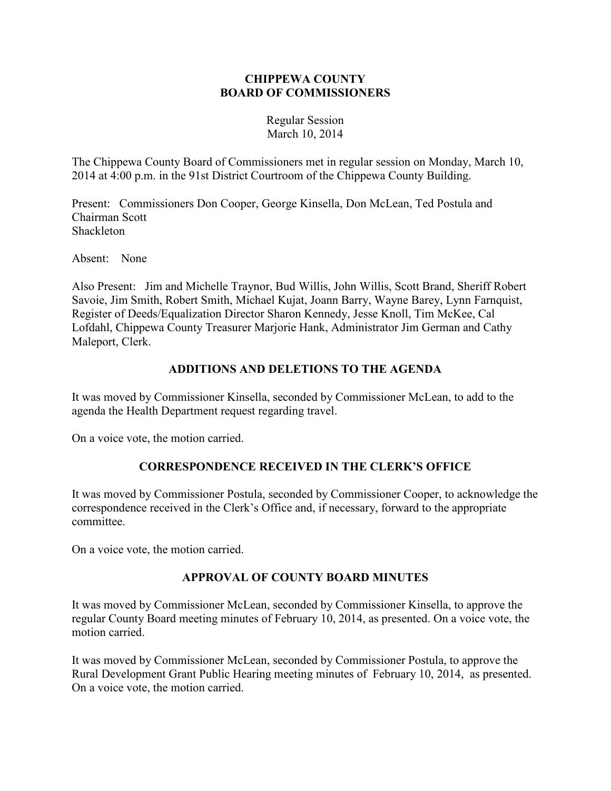### **CHIPPEWA COUNTY BOARD OF COMMISSIONERS**

Regular Session March 10, 2014

The Chippewa County Board of Commissioners met in regular session on Monday, March 10, 2014 at 4:00 p.m. in the 91st District Courtroom of the Chippewa County Building.

Present: Commissioners Don Cooper, George Kinsella, Don McLean, Ted Postula and Chairman Scott Shackleton

Absent: None

Also Present: Jim and Michelle Traynor, Bud Willis, John Willis, Scott Brand, Sheriff Robert Savoie, Jim Smith, Robert Smith, Michael Kujat, Joann Barry, Wayne Barey, Lynn Farnquist, Register of Deeds/Equalization Director Sharon Kennedy, Jesse Knoll, Tim McKee, Cal Lofdahl, Chippewa County Treasurer Marjorie Hank, Administrator Jim German and Cathy Maleport, Clerk.

### **ADDITIONS AND DELETIONS TO THE AGENDA**

It was moved by Commissioner Kinsella, seconded by Commissioner McLean, to add to the agenda the Health Department request regarding travel.

On a voice vote, the motion carried.

# **CORRESPONDENCE RECEIVED IN THE CLERK'S OFFICE**

It was moved by Commissioner Postula, seconded by Commissioner Cooper, to acknowledge the correspondence received in the Clerk's Office and, if necessary, forward to the appropriate committee.

On a voice vote, the motion carried.

# **APPROVAL OF COUNTY BOARD MINUTES**

It was moved by Commissioner McLean, seconded by Commissioner Kinsella, to approve the regular County Board meeting minutes of February 10, 2014, as presented. On a voice vote, the motion carried.

It was moved by Commissioner McLean, seconded by Commissioner Postula, to approve the Rural Development Grant Public Hearing meeting minutes of February 10, 2014, as presented. On a voice vote, the motion carried.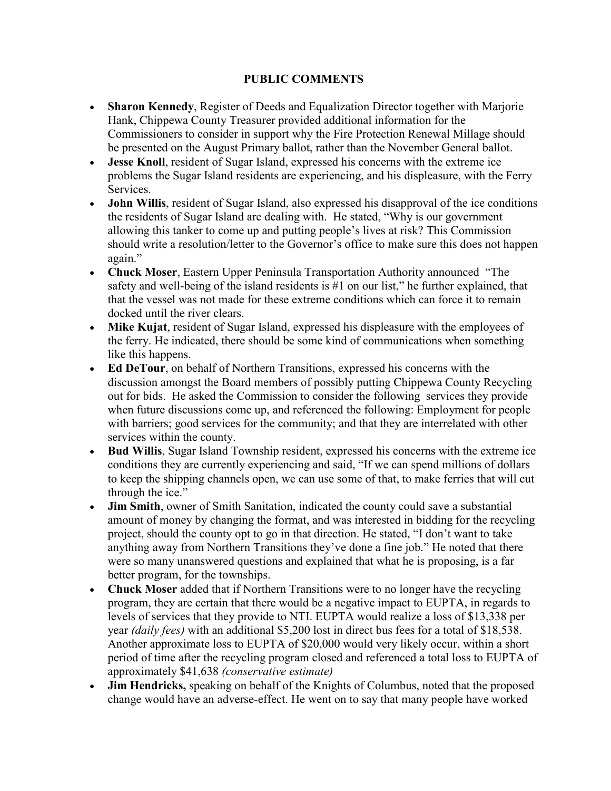#### **PUBLIC COMMENTS**

- **Sharon Kennedy**, Register of Deeds and Equalization Director together with Marjorie Hank, Chippewa County Treasurer provided additional information for the Commissioners to consider in support why the Fire Protection Renewal Millage should be presented on the August Primary ballot, rather than the November General ballot.
- **Jesse Knoll**, resident of Sugar Island, expressed his concerns with the extreme ice problems the Sugar Island residents are experiencing, and his displeasure, with the Ferry **Services**
- **John Willis**, resident of Sugar Island, also expressed his disapproval of the ice conditions the residents of Sugar Island are dealing with. He stated, "Why is our government allowing this tanker to come up and putting people's lives at risk? This Commission should write a resolution/letter to the Governor's office to make sure this does not happen again."
- **Chuck Moser**, Eastern Upper Peninsula Transportation Authority announced "The safety and well-being of the island residents is #1 on our list," he further explained, that that the vessel was not made for these extreme conditions which can force it to remain docked until the river clears.
- **Mike Kujat**, resident of Sugar Island, expressed his displeasure with the employees of the ferry. He indicated, there should be some kind of communications when something like this happens.
- **Ed DeTour**, on behalf of Northern Transitions, expressed his concerns with the discussion amongst the Board members of possibly putting Chippewa County Recycling out for bids. He asked the Commission to consider the following services they provide when future discussions come up, and referenced the following: Employment for people with barriers; good services for the community; and that they are interrelated with other services within the county.
- **Bud Willis**, Sugar Island Township resident, expressed his concerns with the extreme ice conditions they are currently experiencing and said, "If we can spend millions of dollars to keep the shipping channels open, we can use some of that, to make ferries that will cut through the ice."
- **Jim Smith**, owner of Smith Sanitation, indicated the county could save a substantial amount of money by changing the format, and was interested in bidding for the recycling project, should the county opt to go in that direction. He stated, "I don't want to take anything away from Northern Transitions they've done a fine job." He noted that there were so many unanswered questions and explained that what he is proposing, is a far better program, for the townships.
- **Chuck Moser** added that if Northern Transitions were to no longer have the recycling program, they are certain that there would be a negative impact to EUPTA, in regards to levels of services that they provide to NTI. EUPTA would realize a loss of \$13,338 per year *(daily fees)* with an additional \$5,200 lost in direct bus fees for a total of \$18,538. Another approximate loss to EUPTA of \$20,000 would very likely occur, within a short period of time after the recycling program closed and referenced a total loss to EUPTA of approximately \$41,638 *(conservative estimate)*
- **Jim Hendricks,** speaking on behalf of the Knights of Columbus, noted that the proposed change would have an adverse-effect. He went on to say that many people have worked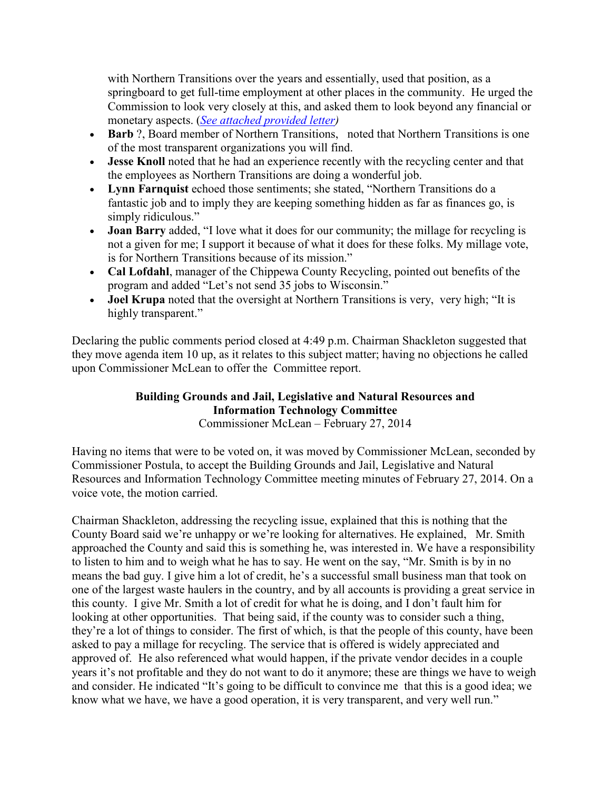with Northern Transitions over the years and essentially, used that position, as a springboard to get full-time employment at other places in the community. He urged the Commission to look very closely at this, and asked them to look beyond any financial or monetary aspects. (*See attached provided letter)* 

- **Barb** ?, Board member of Northern Transitions, noted that Northern Transitions is one of the most transparent organizations you will find.
- **Jesse Knoll** noted that he had an experience recently with the recycling center and that the employees as Northern Transitions are doing a wonderful job.
- **Lynn Farnquist** echoed those sentiments; she stated, "Northern Transitions do a fantastic job and to imply they are keeping something hidden as far as finances go, is simply ridiculous."
- **Joan Barry** added, "I love what it does for our community; the millage for recycling is not a given for me; I support it because of what it does for these folks. My millage vote, is for Northern Transitions because of its mission."
- **Cal Lofdahl**, manager of the Chippewa County Recycling, pointed out benefits of the program and added "Let's not send 35 jobs to Wisconsin."
- **Joel Krupa** noted that the oversight at Northern Transitions is very, very high; "It is highly transparent."

Declaring the public comments period closed at 4:49 p.m. Chairman Shackleton suggested that they move agenda item 10 up, as it relates to this subject matter; having no objections he called upon Commissioner McLean to offer the Committee report.

#### **Building Grounds and Jail, Legislative and Natural Resources and Information Technology Committee** Commissioner McLean – February 27, 2014

Having no items that were to be voted on, it was moved by Commissioner McLean, seconded by Commissioner Postula, to accept the Building Grounds and Jail, Legislative and Natural Resources and Information Technology Committee meeting minutes of February 27, 2014. On a voice vote, the motion carried.

Chairman Shackleton, addressing the recycling issue, explained that this is nothing that the County Board said we're unhappy or we're looking for alternatives. He explained, Mr. Smith approached the County and said this is something he, was interested in. We have a responsibility to listen to him and to weigh what he has to say. He went on the say, "Mr. Smith is by in no means the bad guy. I give him a lot of credit, he's a successful small business man that took on one of the largest waste haulers in the country, and by all accounts is providing a great service in this county. I give Mr. Smith a lot of credit for what he is doing, and I don't fault him for looking at other opportunities. That being said, if the county was to consider such a thing, they're a lot of things to consider. The first of which, is that the people of this county, have been asked to pay a millage for recycling. The service that is offered is widely appreciated and approved of. He also referenced what would happen, if the private vendor decides in a couple years it's not profitable and they do not want to do it anymore; these are things we have to weigh and consider. He indicated "It's going to be difficult to convince me that this is a good idea; we know what we have, we have a good operation, it is very transparent, and very well run."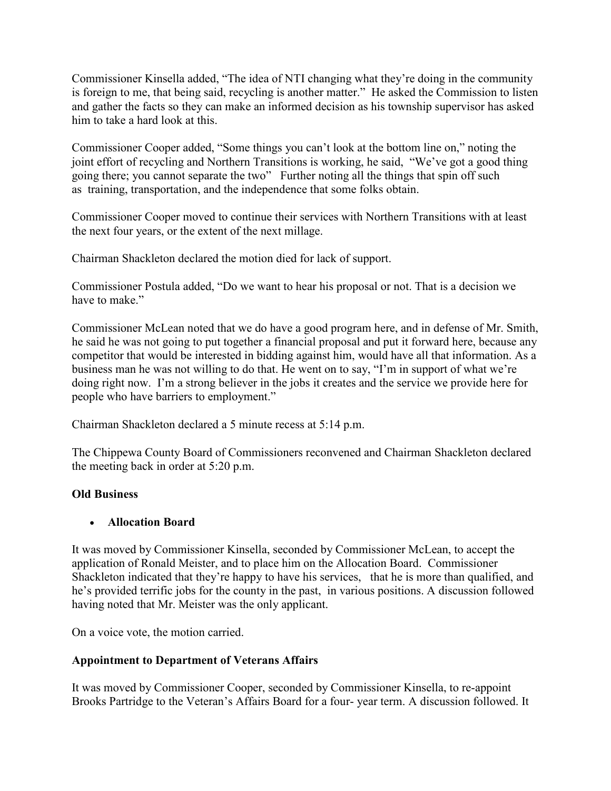Commissioner Kinsella added, "The idea of NTI changing what they're doing in the community is foreign to me, that being said, recycling is another matter." He asked the Commission to listen and gather the facts so they can make an informed decision as his township supervisor has asked him to take a hard look at this.

Commissioner Cooper added, "Some things you can't look at the bottom line on," noting the joint effort of recycling and Northern Transitions is working, he said, "We've got a good thing going there; you cannot separate the two" Further noting all the things that spin off such as training, transportation, and the independence that some folks obtain.

Commissioner Cooper moved to continue their services with Northern Transitions with at least the next four years, or the extent of the next millage.

Chairman Shackleton declared the motion died for lack of support.

Commissioner Postula added, "Do we want to hear his proposal or not. That is a decision we have to make"

Commissioner McLean noted that we do have a good program here, and in defense of Mr. Smith, he said he was not going to put together a financial proposal and put it forward here, because any competitor that would be interested in bidding against him, would have all that information. As a business man he was not willing to do that. He went on to say, "I'm in support of what we're doing right now. I'm a strong believer in the jobs it creates and the service we provide here for people who have barriers to employment."

Chairman Shackleton declared a 5 minute recess at 5:14 p.m.

The Chippewa County Board of Commissioners reconvened and Chairman Shackleton declared the meeting back in order at 5:20 p.m.

# **Old Business**

### • **Allocation Board**

It was moved by Commissioner Kinsella, seconded by Commissioner McLean, to accept the application of Ronald Meister, and to place him on the Allocation Board. Commissioner Shackleton indicated that they're happy to have his services, that he is more than qualified, and he's provided terrific jobs for the county in the past, in various positions. A discussion followed having noted that Mr. Meister was the only applicant.

On a voice vote, the motion carried.

### **Appointment to Department of Veterans Affairs**

It was moved by Commissioner Cooper, seconded by Commissioner Kinsella, to re-appoint Brooks Partridge to the Veteran's Affairs Board for a four- year term. A discussion followed. It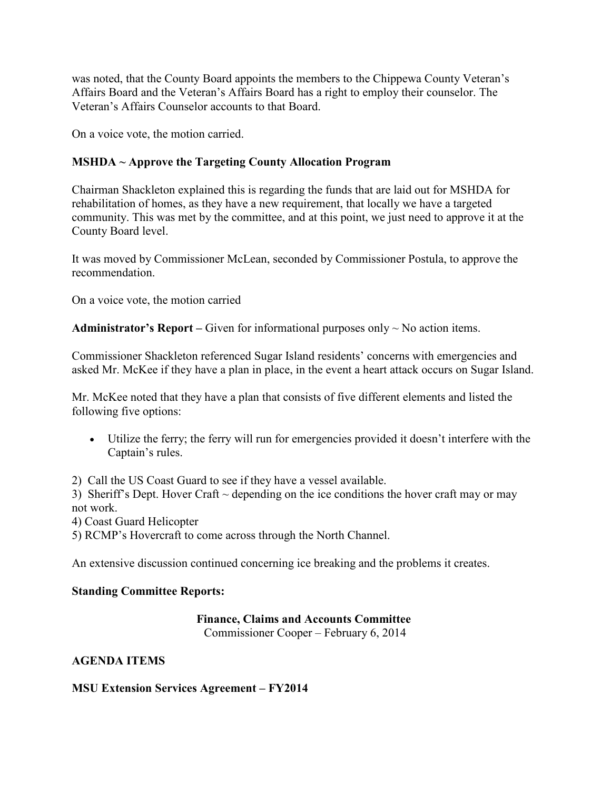was noted, that the County Board appoints the members to the Chippewa County Veteran's Affairs Board and the Veteran's Affairs Board has a right to employ their counselor. The Veteran's Affairs Counselor accounts to that Board.

On a voice vote, the motion carried.

# **MSHDA ~ Approve the Targeting County Allocation Program**

Chairman Shackleton explained this is regarding the funds that are laid out for MSHDA for rehabilitation of homes, as they have a new requirement, that locally we have a targeted community. This was met by the committee, and at this point, we just need to approve it at the County Board level.

It was moved by Commissioner McLean, seconded by Commissioner Postula, to approve the recommendation.

On a voice vote, the motion carried

**Administrator's Report** – Given for informational purposes only  $\sim$  No action items.

Commissioner Shackleton referenced Sugar Island residents' concerns with emergencies and asked Mr. McKee if they have a plan in place, in the event a heart attack occurs on Sugar Island.

Mr. McKee noted that they have a plan that consists of five different elements and listed the following five options:

• Utilize the ferry; the ferry will run for emergencies provided it doesn't interfere with the Captain's rules.

2) Call the US Coast Guard to see if they have a vessel available.

3) Sheriff's Dept. Hover Craft  $\sim$  depending on the ice conditions the hover craft may or may not work.

4) Coast Guard Helicopter

5) RCMP's Hovercraft to come across through the North Channel.

An extensive discussion continued concerning ice breaking and the problems it creates.

# **Standing Committee Reports:**

# **Finance, Claims and Accounts Committee**

Commissioner Cooper – February 6, 2014

# **AGENDA ITEMS**

# **MSU Extension Services Agreement – FY2014**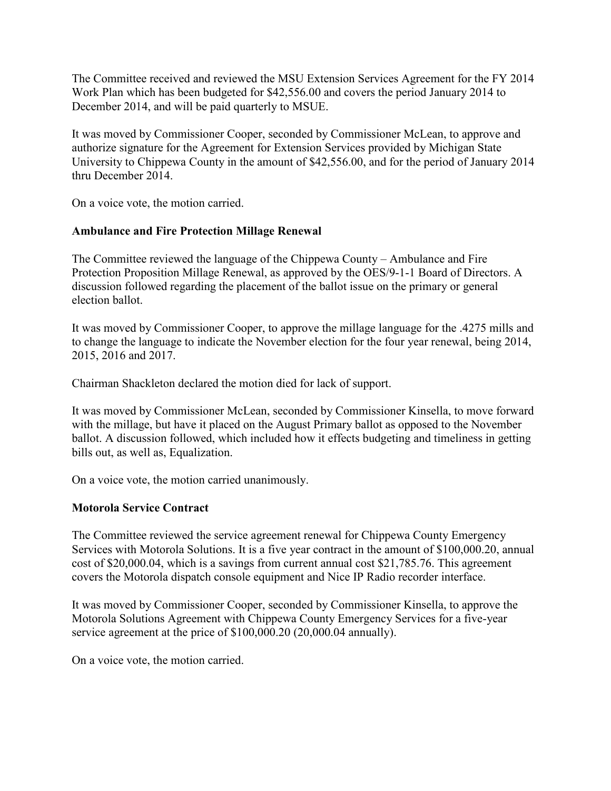The Committee received and reviewed the MSU Extension Services Agreement for the FY 2014 Work Plan which has been budgeted for \$42,556.00 and covers the period January 2014 to December 2014, and will be paid quarterly to MSUE.

It was moved by Commissioner Cooper, seconded by Commissioner McLean, to approve and authorize signature for the Agreement for Extension Services provided by Michigan State University to Chippewa County in the amount of \$42,556.00, and for the period of January 2014 thru December 2014.

On a voice vote, the motion carried.

### **Ambulance and Fire Protection Millage Renewal**

The Committee reviewed the language of the Chippewa County – Ambulance and Fire Protection Proposition Millage Renewal, as approved by the OES/9-1-1 Board of Directors. A discussion followed regarding the placement of the ballot issue on the primary or general election ballot.

It was moved by Commissioner Cooper, to approve the millage language for the .4275 mills and to change the language to indicate the November election for the four year renewal, being 2014, 2015, 2016 and 2017.

Chairman Shackleton declared the motion died for lack of support.

It was moved by Commissioner McLean, seconded by Commissioner Kinsella, to move forward with the millage, but have it placed on the August Primary ballot as opposed to the November ballot. A discussion followed, which included how it effects budgeting and timeliness in getting bills out, as well as, Equalization.

On a voice vote, the motion carried unanimously.

### **Motorola Service Contract**

The Committee reviewed the service agreement renewal for Chippewa County Emergency Services with Motorola Solutions. It is a five year contract in the amount of \$100,000.20, annual cost of \$20,000.04, which is a savings from current annual cost \$21,785.76. This agreement covers the Motorola dispatch console equipment and Nice IP Radio recorder interface.

It was moved by Commissioner Cooper, seconded by Commissioner Kinsella, to approve the Motorola Solutions Agreement with Chippewa County Emergency Services for a five-year service agreement at the price of \$100,000.20 (20,000.04 annually).

On a voice vote, the motion carried.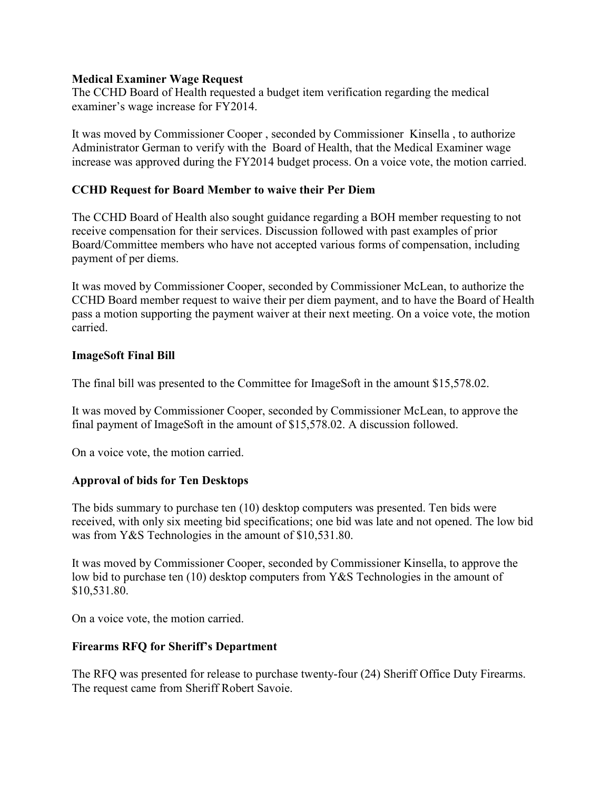#### **Medical Examiner Wage Request**

The CCHD Board of Health requested a budget item verification regarding the medical examiner's wage increase for FY2014.

It was moved by Commissioner Cooper , seconded by Commissioner Kinsella , to authorize Administrator German to verify with the Board of Health, that the Medical Examiner wage increase was approved during the FY2014 budget process. On a voice vote, the motion carried.

#### **CCHD Request for Board Member to waive their Per Diem**

The CCHD Board of Health also sought guidance regarding a BOH member requesting to not receive compensation for their services. Discussion followed with past examples of prior Board/Committee members who have not accepted various forms of compensation, including payment of per diems.

It was moved by Commissioner Cooper, seconded by Commissioner McLean, to authorize the CCHD Board member request to waive their per diem payment, and to have the Board of Health pass a motion supporting the payment waiver at their next meeting. On a voice vote, the motion carried.

#### **ImageSoft Final Bill**

The final bill was presented to the Committee for ImageSoft in the amount \$15,578.02.

It was moved by Commissioner Cooper, seconded by Commissioner McLean, to approve the final payment of ImageSoft in the amount of \$15,578.02. A discussion followed.

On a voice vote, the motion carried.

### **Approval of bids for Ten Desktops**

The bids summary to purchase ten (10) desktop computers was presented. Ten bids were received, with only six meeting bid specifications; one bid was late and not opened. The low bid was from Y&S Technologies in the amount of \$10,531.80.

It was moved by Commissioner Cooper, seconded by Commissioner Kinsella, to approve the low bid to purchase ten (10) desktop computers from Y&S Technologies in the amount of \$10,531.80.

On a voice vote, the motion carried.

### **Firearms RFQ for Sheriff's Department**

The RFQ was presented for release to purchase twenty-four (24) Sheriff Office Duty Firearms. The request came from Sheriff Robert Savoie.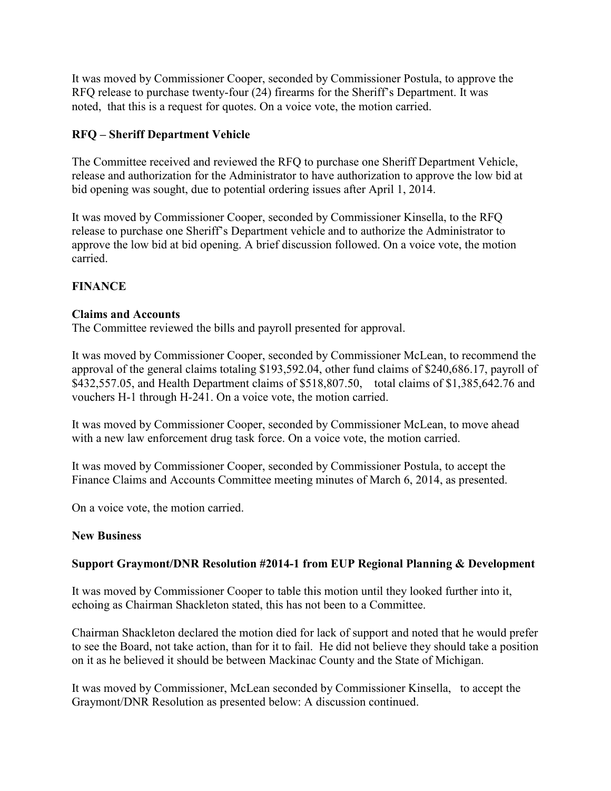It was moved by Commissioner Cooper, seconded by Commissioner Postula, to approve the RFQ release to purchase twenty-four (24) firearms for the Sheriff's Department. It was noted, that this is a request for quotes. On a voice vote, the motion carried.

### **RFQ – Sheriff Department Vehicle**

The Committee received and reviewed the RFQ to purchase one Sheriff Department Vehicle, release and authorization for the Administrator to have authorization to approve the low bid at bid opening was sought, due to potential ordering issues after April 1, 2014.

It was moved by Commissioner Cooper, seconded by Commissioner Kinsella, to the RFQ release to purchase one Sheriff's Department vehicle and to authorize the Administrator to approve the low bid at bid opening. A brief discussion followed. On a voice vote, the motion carried.

### **FINANCE**

#### **Claims and Accounts**

The Committee reviewed the bills and payroll presented for approval.

It was moved by Commissioner Cooper, seconded by Commissioner McLean, to recommend the approval of the general claims totaling \$193,592.04, other fund claims of \$240,686.17, payroll of \$432,557.05, and Health Department claims of \$518,807.50, total claims of \$1,385,642.76 and vouchers H-1 through H-241. On a voice vote, the motion carried.

It was moved by Commissioner Cooper, seconded by Commissioner McLean, to move ahead with a new law enforcement drug task force. On a voice vote, the motion carried.

It was moved by Commissioner Cooper, seconded by Commissioner Postula, to accept the Finance Claims and Accounts Committee meeting minutes of March 6, 2014, as presented.

On a voice vote, the motion carried.

### **New Business**

### **Support Graymont/DNR Resolution #2014-1 from EUP Regional Planning & Development**

It was moved by Commissioner Cooper to table this motion until they looked further into it, echoing as Chairman Shackleton stated, this has not been to a Committee.

Chairman Shackleton declared the motion died for lack of support and noted that he would prefer to see the Board, not take action, than for it to fail. He did not believe they should take a position on it as he believed it should be between Mackinac County and the State of Michigan.

It was moved by Commissioner, McLean seconded by Commissioner Kinsella, to accept the Graymont/DNR Resolution as presented below: A discussion continued.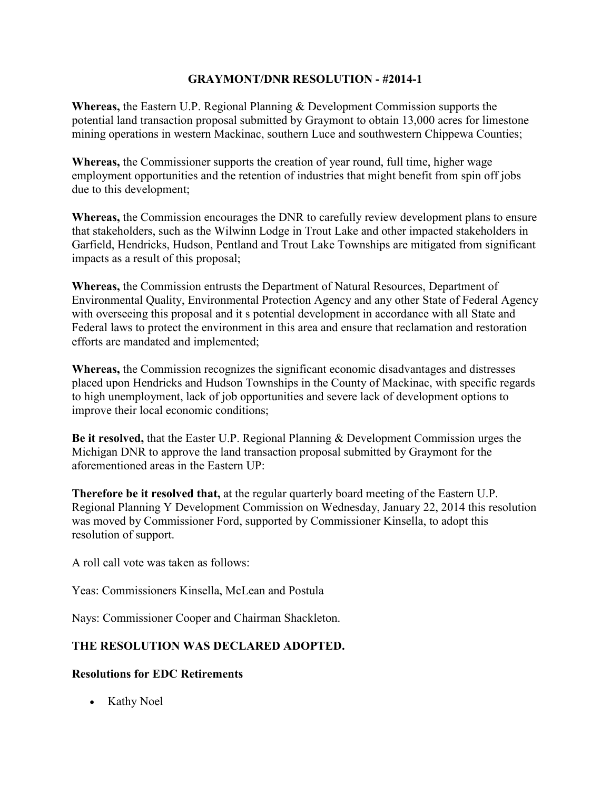#### **GRAYMONT/DNR RESOLUTION - #2014-1**

**Whereas,** the Eastern U.P. Regional Planning & Development Commission supports the potential land transaction proposal submitted by Graymont to obtain 13,000 acres for limestone mining operations in western Mackinac, southern Luce and southwestern Chippewa Counties;

**Whereas,** the Commissioner supports the creation of year round, full time, higher wage employment opportunities and the retention of industries that might benefit from spin off jobs due to this development;

**Whereas,** the Commission encourages the DNR to carefully review development plans to ensure that stakeholders, such as the Wilwinn Lodge in Trout Lake and other impacted stakeholders in Garfield, Hendricks, Hudson, Pentland and Trout Lake Townships are mitigated from significant impacts as a result of this proposal;

**Whereas,** the Commission entrusts the Department of Natural Resources, Department of Environmental Quality, Environmental Protection Agency and any other State of Federal Agency with overseeing this proposal and it s potential development in accordance with all State and Federal laws to protect the environment in this area and ensure that reclamation and restoration efforts are mandated and implemented;

**Whereas,** the Commission recognizes the significant economic disadvantages and distresses placed upon Hendricks and Hudson Townships in the County of Mackinac, with specific regards to high unemployment, lack of job opportunities and severe lack of development options to improve their local economic conditions;

**Be it resolved,** that the Easter U.P. Regional Planning & Development Commission urges the Michigan DNR to approve the land transaction proposal submitted by Graymont for the aforementioned areas in the Eastern UP:

**Therefore be it resolved that,** at the regular quarterly board meeting of the Eastern U.P. Regional Planning Y Development Commission on Wednesday, January 22, 2014 this resolution was moved by Commissioner Ford, supported by Commissioner Kinsella, to adopt this resolution of support.

A roll call vote was taken as follows:

Yeas: Commissioners Kinsella, McLean and Postula

Nays: Commissioner Cooper and Chairman Shackleton.

### **THE RESOLUTION WAS DECLARED ADOPTED.**

#### **Resolutions for EDC Retirements**

• Kathy Noel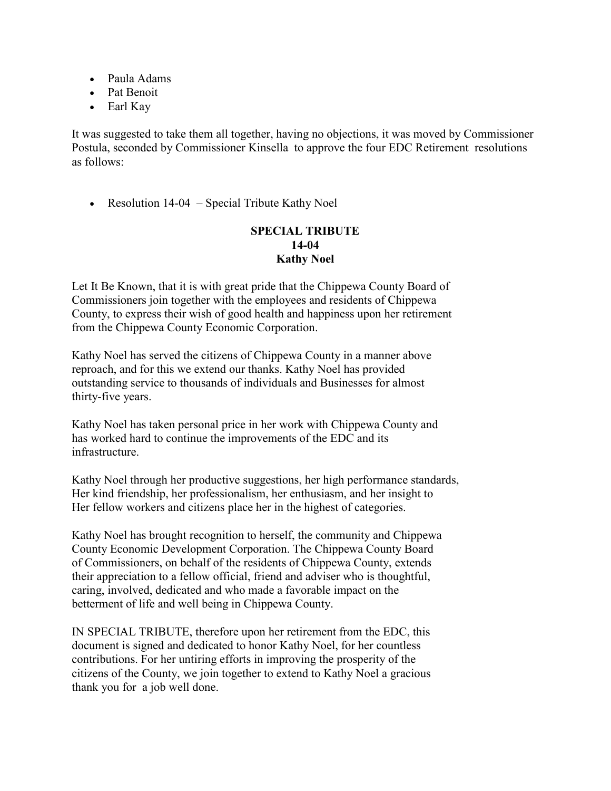- Paula Adams
- Pat Benoit
- Earl Kay

It was suggested to take them all together, having no objections, it was moved by Commissioner Postula, seconded by Commissioner Kinsella to approve the four EDC Retirement resolutions as follows:

• Resolution 14-04 – Special Tribute Kathy Noel

### **SPECIAL TRIBUTE 14-04 Kathy Noel**

Let It Be Known, that it is with great pride that the Chippewa County Board of Commissioners join together with the employees and residents of Chippewa County, to express their wish of good health and happiness upon her retirement from the Chippewa County Economic Corporation.

Kathy Noel has served the citizens of Chippewa County in a manner above reproach, and for this we extend our thanks. Kathy Noel has provided outstanding service to thousands of individuals and Businesses for almost thirty-five years.

Kathy Noel has taken personal price in her work with Chippewa County and has worked hard to continue the improvements of the EDC and its infrastructure.

Kathy Noel through her productive suggestions, her high performance standards, Her kind friendship, her professionalism, her enthusiasm, and her insight to Her fellow workers and citizens place her in the highest of categories.

Kathy Noel has brought recognition to herself, the community and Chippewa County Economic Development Corporation. The Chippewa County Board of Commissioners, on behalf of the residents of Chippewa County, extends their appreciation to a fellow official, friend and adviser who is thoughtful, caring, involved, dedicated and who made a favorable impact on the betterment of life and well being in Chippewa County.

IN SPECIAL TRIBUTE, therefore upon her retirement from the EDC, this document is signed and dedicated to honor Kathy Noel, for her countless contributions. For her untiring efforts in improving the prosperity of the citizens of the County, we join together to extend to Kathy Noel a gracious thank you for a job well done.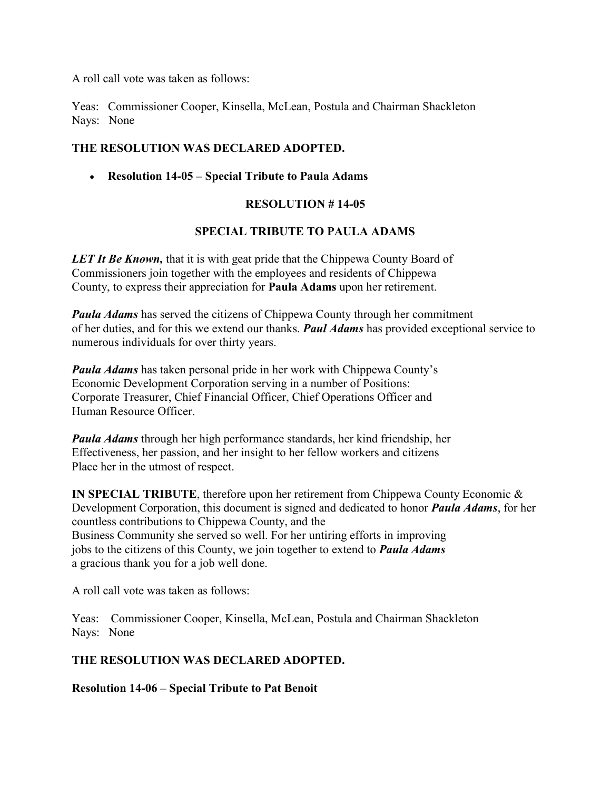A roll call vote was taken as follows:

Yeas: Commissioner Cooper, Kinsella, McLean, Postula and Chairman Shackleton Nays: None

### **THE RESOLUTION WAS DECLARED ADOPTED.**

• **Resolution 14-05 – Special Tribute to Paula Adams**

# **RESOLUTION # 14-05**

### **SPECIAL TRIBUTE TO PAULA ADAMS**

**LET It Be Known,** that it is with geat pride that the Chippewa County Board of Commissioners join together with the employees and residents of Chippewa County, to express their appreciation for **Paula Adams** upon her retirement.

*Paula Adams* has served the citizens of Chippewa County through her commitment of her duties, and for this we extend our thanks. *Paul Adams* has provided exceptional service to numerous individuals for over thirty years.

*Paula Adams* has taken personal pride in her work with Chippewa County's Economic Development Corporation serving in a number of Positions: Corporate Treasurer, Chief Financial Officer, Chief Operations Officer and Human Resource Officer.

*Paula Adams* through her high performance standards, her kind friendship, her Effectiveness, her passion, and her insight to her fellow workers and citizens Place her in the utmost of respect.

**IN SPECIAL TRIBUTE**, therefore upon her retirement from Chippewa County Economic & Development Corporation, this document is signed and dedicated to honor *Paula Adams*, for her countless contributions to Chippewa County, and the Business Community she served so well. For her untiring efforts in improving jobs to the citizens of this County, we join together to extend to *Paula Adams*  a gracious thank you for a job well done.

A roll call vote was taken as follows:

Yeas: Commissioner Cooper, Kinsella, McLean, Postula and Chairman Shackleton Nays: None

### **THE RESOLUTION WAS DECLARED ADOPTED.**

**Resolution 14-06 – Special Tribute to Pat Benoit**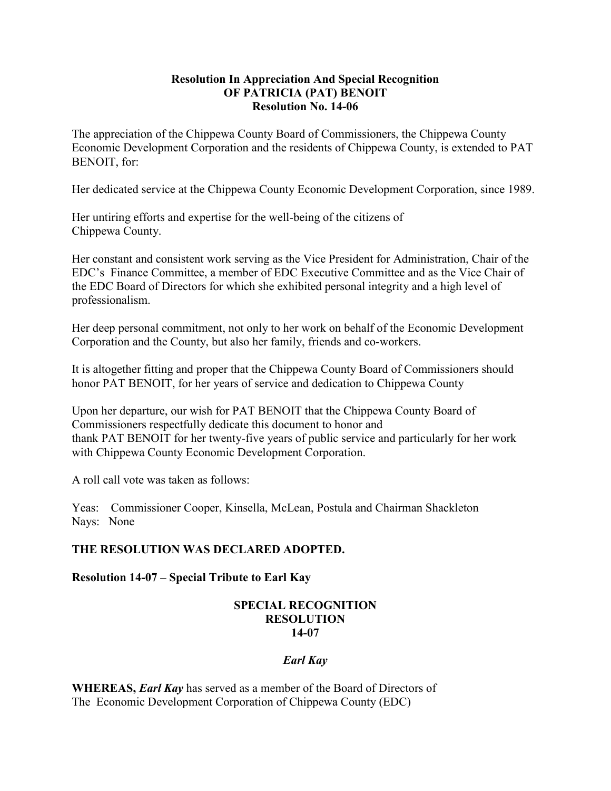#### **Resolution In Appreciation And Special Recognition OF PATRICIA (PAT) BENOIT Resolution No. 14-06**

The appreciation of the Chippewa County Board of Commissioners, the Chippewa County Economic Development Corporation and the residents of Chippewa County, is extended to PAT BENOIT, for:

Her dedicated service at the Chippewa County Economic Development Corporation, since 1989.

Her untiring efforts and expertise for the well-being of the citizens of Chippewa County.

Her constant and consistent work serving as the Vice President for Administration, Chair of the EDC's Finance Committee, a member of EDC Executive Committee and as the Vice Chair of the EDC Board of Directors for which she exhibited personal integrity and a high level of professionalism.

Her deep personal commitment, not only to her work on behalf of the Economic Development Corporation and the County, but also her family, friends and co-workers.

It is altogether fitting and proper that the Chippewa County Board of Commissioners should honor PAT BENOIT, for her years of service and dedication to Chippewa County

Upon her departure, our wish for PAT BENOIT that the Chippewa County Board of Commissioners respectfully dedicate this document to honor and thank PAT BENOIT for her twenty-five years of public service and particularly for her work with Chippewa County Economic Development Corporation.

A roll call vote was taken as follows:

Yeas: Commissioner Cooper, Kinsella, McLean, Postula and Chairman Shackleton Nays: None

### **THE RESOLUTION WAS DECLARED ADOPTED.**

**Resolution 14-07 – Special Tribute to Earl Kay** 

#### **SPECIAL RECOGNITION RESOLUTION 14-07**

### *Earl Kay*

**WHEREAS,** *Earl Kay* has served as a member of the Board of Directors of The Economic Development Corporation of Chippewa County (EDC)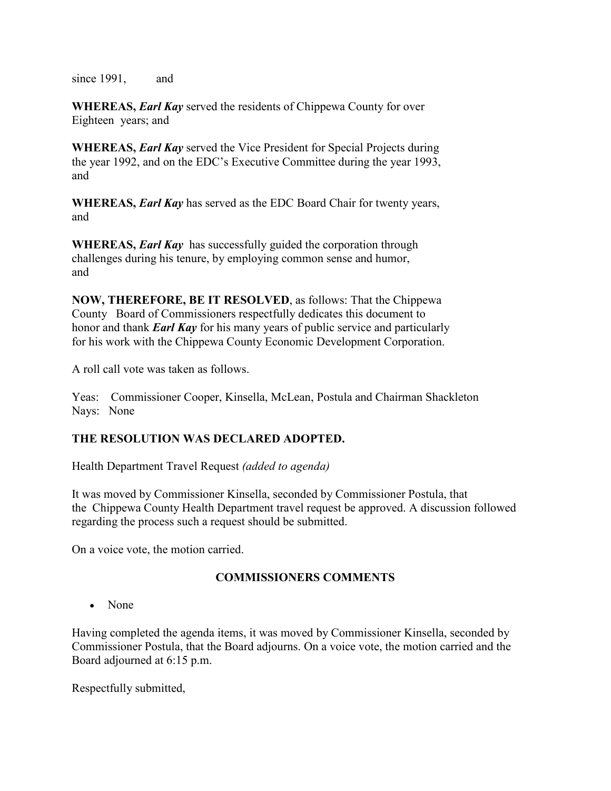since 1991, and

**WHEREAS,** *Earl Kay* served the residents of Chippewa County for over Eighteen years; and

**WHEREAS,** *Earl Kay* served the Vice President for Special Projects during the year 1992, and on the EDC's Executive Committee during the year 1993, and

**WHEREAS,** *Earl Kay* has served as the EDC Board Chair for twenty years, and

**WHEREAS,** *Earl Kay* has successfully guided the corporation through challenges during his tenure, by employing common sense and humor, and

**NOW, THEREFORE, BE IT RESOLVED**, as follows: That the Chippewa County Board of Commissioners respectfully dedicates this document to honor and thank *Earl Kay* for his many years of public service and particularly for his work with the Chippewa County Economic Development Corporation.

A roll call vote was taken as follows.

Yeas: Commissioner Cooper, Kinsella, McLean, Postula and Chairman Shackleton Nays: None

### **THE RESOLUTION WAS DECLARED ADOPTED.**

Health Department Travel Request *(added to agenda)*

It was moved by Commissioner Kinsella, seconded by Commissioner Postula, that the Chippewa County Health Department travel request be approved. A discussion followed regarding the process such a request should be submitted.

On a voice vote, the motion carried.

### **COMMISSIONERS COMMENTS**

• None

Having completed the agenda items, it was moved by Commissioner Kinsella, seconded by Commissioner Postula, that the Board adjourns. On a voice vote, the motion carried and the Board adjourned at 6:15 p.m.

Respectfully submitted,